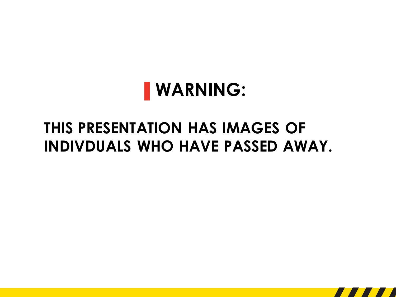# **▌WARNING:**

## **THIS PRESENTATION HAS IMAGES OF INDIVDUALS WHO HAVE PASSED AWAY.**

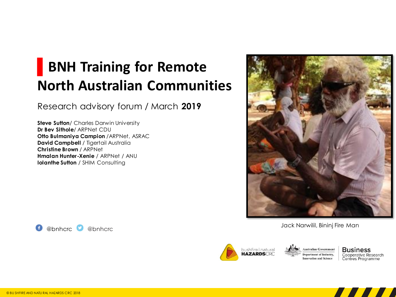## **▌BNH Training for Remote North Australian Communities**

Research advisory forum / March **2019**

**Steve Sutton**/ Charles Darwin University **Dr Bev Sithole**/ ARPNet CDU **Otto Bulmaniya Campion** /ARPNet, ASRAC **David Campbell / Tigertail Australia Christine Brown** / ARPNet **Hmalan Hunter-Xenie** / ARPNet / ANU **Iolanthe Sutton / SHIM Consulting** 



Jack Narwilil, Bininj Fire Man



**Australian Government Department of Industry, Innovation and Science** 

**Business** Cooperative Research Centres Programme



@bnhcrc @bnhcrc G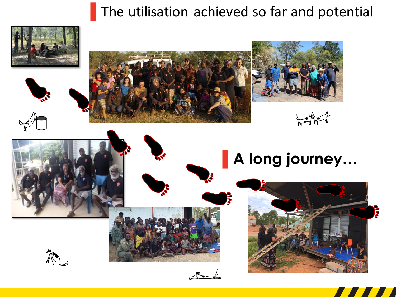#### **▌**The utilisation achieved so far and potential





















**Port**